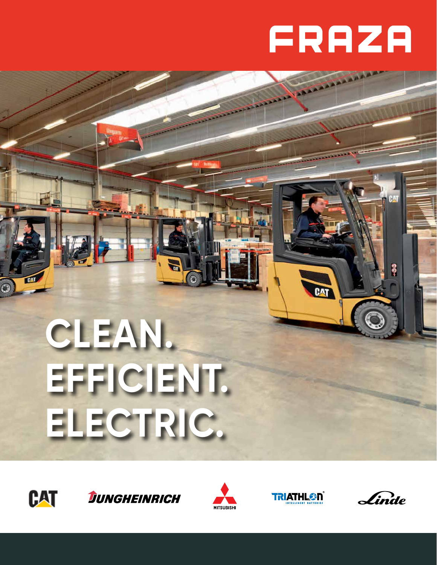# FRAZA

# **CLEAN. EFFICIENT. ELECTRIC.**









CAT

Linde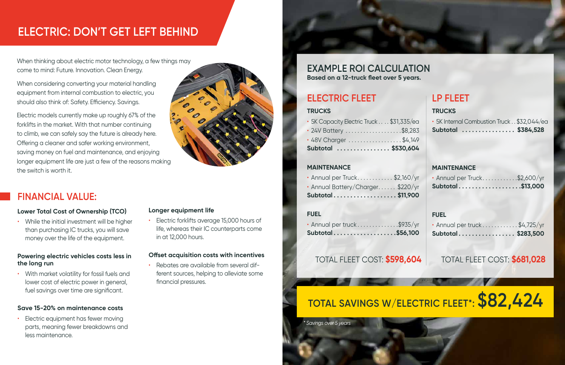## **FINANCIAL VALUE:**

#### **Lower Total Cost of Ownership (TCO)**

• While the initial investment will be higher than purchasing IC trucks, you will save money over the life of the equipment.

#### **Powering electric vehicles costs less in the long run**

Electric equipment has fewer moving parts, meaning fewer breakdowns and less maintenance.

• With market volatility for fossil fuels and lower cost of electric power in general, fuel savings over time are significant.

#### **Save 15-20% on maintenance costs**

When thinking about electric motor technology, a few things may come to mind: Future. Innovation. Clean Energy.

When considering converting your material handling equipment from internal combustion to electric, you should also think of: Safety. Efficiency. Savings.

Electric models currently make up roughly 67% of the forklifts in the market. With that number continuing to climb, we can safely say the future is already here. Offering a cleaner and safer working environment, saving money on fuel and maintenance, and enjoying longer equipment life are just a few of the reasons making the switch is worth it.



#### **Longer equipment life**

• Electric forklifts average 15,000 hours of life, whereas their IC counterparts come in at 12,000 hours.

#### **Offset acquisition costs with incentives**

• Rebates are available from several different sources, helping to alleviate some financial pressures.



#### **TRUCKS**

| Subtotal  \$530,604                      |  |  |
|------------------------------------------|--|--|
| · 48V Charger \$4,149                    |  |  |
| · 24V Battery \$8,283                    |  |  |
| · 5K Capacity Electric Truck \$31,335/ea |  |  |

#### **MAINTENANCE**

| Subtotal\$11,900                  |
|-----------------------------------|
| · Annual Battery/Charger \$220/yr |
| · Annual per Truck\$2,160/yr      |

#### **FUEL**

| Subtotal\$56,100            |  |
|-----------------------------|--|
| · Annual per truck \$935/yr |  |

#### **TRUCKS**

• 5K Internal Combustion Truck . . \$32,044/ea **Subtotal . . \$384,528**

### **MAINTENANCE**

| · Annual per Truck\$2,600/yr |  |
|------------------------------|--|
| Subtotal\$13,000             |  |

### **FUEL**

| Subtotal\$283,500             |
|-------------------------------|
| · Annual per truck \$4,725/yr |

### **Based on a 12-truck fleet over 5 years. EXAMPLE ROI CALCULATION**

# **ELECTRIC FLEET LP FLEET**

# **TOTAL SAVINGS W/ELECTRIC FLEET\*: \$82,424**

## TOTAL FLEET COST: **\$598,604** TOTAL FLEET COST: **\$681,028**

# **ELECTRIC: DON'T GET LEFT BEHIND**